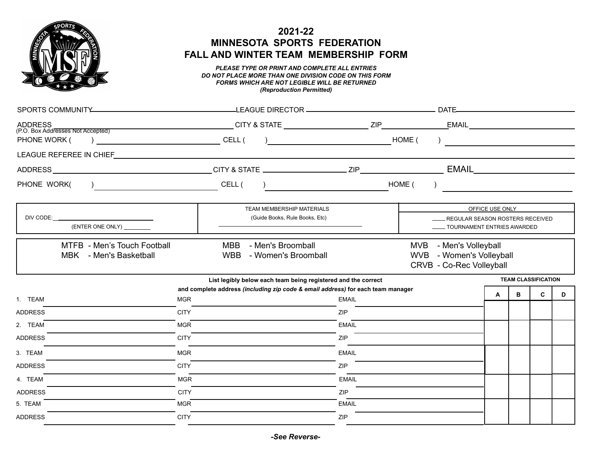

## **2021-22 MINNESOTA SPORTS FEDERATION FALL AND WINTER TEAM MEMBERSHIP FORM**

## *PLEASE TYPE OR PRINT AND COMPLETE ALL ENTRIES DO NOT PLACE MORE THAN ONE DIVISION CODE ON THIS FORM FORMS WHICH ARE NOT LEGIBLE WILL BE RETURNED (Reproduction Permitted)*

| <b>ADDRESS</b><br>(P.O. Box Addresses Not Accepted)                                                                                                             |                                                                                                                        |                                                                                                                                                                                                                                                                                               |                                                                                       |                 |                            |   |   |
|-----------------------------------------------------------------------------------------------------------------------------------------------------------------|------------------------------------------------------------------------------------------------------------------------|-----------------------------------------------------------------------------------------------------------------------------------------------------------------------------------------------------------------------------------------------------------------------------------------------|---------------------------------------------------------------------------------------|-----------------|----------------------------|---|---|
| PHONE WORK (                                                                                                                                                    |                                                                                                                        | $\begin{array}{c} \hline \end{array}$                                                                                                                                                                                                                                                         | HOME (<br>) and the contract of $\overline{\phantom{a}}$                              |                 |                            |   |   |
| LEAGUE REFEREE IN CHIEF                                                                                                                                         | <u> 1989 - Johann Stoff, deutscher Stoffen und der Stoffen und der Stoffen und der Stoffen und der Stoffen und der</u> |                                                                                                                                                                                                                                                                                               |                                                                                       |                 |                            |   |   |
|                                                                                                                                                                 |                                                                                                                        |                                                                                                                                                                                                                                                                                               |                                                                                       |                 |                            |   |   |
| PHONE WORK(                                                                                                                                                     |                                                                                                                        | $\frac{1}{2}$ and $\frac{1}{2}$ and $\frac{1}{2}$ and $\frac{1}{2}$ and $\frac{1}{2}$ and $\frac{1}{2}$ and $\frac{1}{2}$ and $\frac{1}{2}$ and $\frac{1}{2}$ and $\frac{1}{2}$ and $\frac{1}{2}$ and $\frac{1}{2}$ and $\frac{1}{2}$ and $\frac{1}{2}$ and $\frac{1}{2}$ and $\frac{1}{2}$ a | HOME (                                                                                |                 |                            |   |   |
| DIV CODE:<br><u> 1980 - Jan Samuel Barbara, poeta poeta poeta poeta poeta poeta poeta poeta poeta poeta poeta poeta poeta poe</u><br>(ENTER ONE ONLY) _________ |                                                                                                                        | <b>TEAM MEMBERSHIP MATERIALS</b><br>(Guide Books, Rule Books, Etc)                                                                                                                                                                                                                            | <b>LEGULAR SEASON ROSTERS RECEIVED</b><br>TOURNAMENT ENTRIES AWARDED                  | OFFICE USE ONLY |                            |   |   |
| MTFB - Men's Touch Football<br>MBK - Men's Basketball                                                                                                           | MBB                                                                                                                    | - Men's Broomball<br>WBB - Women's Broomball<br>List legibly below each team being registered and the correct                                                                                                                                                                                 | MVB - Men's Volleyball<br>WVB - Women's Volleyball<br><b>CRVB - Co-Rec Volleyball</b> |                 | <b>TEAM CLASSIFICATION</b> |   |   |
|                                                                                                                                                                 |                                                                                                                        | and complete address (including zip code & email address) for each team manager                                                                                                                                                                                                               |                                                                                       | A               | в                          | C | D |
| 1. TEAM                                                                                                                                                         | <b>MGR</b>                                                                                                             | <b>EMAIL</b>                                                                                                                                                                                                                                                                                  |                                                                                       |                 |                            |   |   |
| <b>ADDRESS</b>                                                                                                                                                  | <b>CITY</b>                                                                                                            | <b>ZIP</b>                                                                                                                                                                                                                                                                                    |                                                                                       |                 |                            |   |   |
| 2. TEAM                                                                                                                                                         | <b>MGR</b>                                                                                                             | <b>EMAIL</b>                                                                                                                                                                                                                                                                                  |                                                                                       |                 |                            |   |   |
| <b>ADDRESS</b>                                                                                                                                                  | <b>CITY</b>                                                                                                            | <b>ZIP</b>                                                                                                                                                                                                                                                                                    |                                                                                       |                 |                            |   |   |
| 3. TEAM                                                                                                                                                         | <b>MGR</b>                                                                                                             | <b>EMAIL</b>                                                                                                                                                                                                                                                                                  |                                                                                       |                 |                            |   |   |
| <b>ADDRESS</b>                                                                                                                                                  | <b>CITY</b>                                                                                                            | <b>ZIP</b>                                                                                                                                                                                                                                                                                    |                                                                                       |                 |                            |   |   |
| 4. TEAM                                                                                                                                                         | <b>MGR</b>                                                                                                             | <b>EMAIL</b>                                                                                                                                                                                                                                                                                  |                                                                                       |                 |                            |   |   |
| <b>ADDRESS</b>                                                                                                                                                  | <b>CITY</b>                                                                                                            | ZIP                                                                                                                                                                                                                                                                                           |                                                                                       |                 |                            |   |   |
| 5. TEAM                                                                                                                                                         | <b>MGR</b>                                                                                                             | <b>EMAIL</b>                                                                                                                                                                                                                                                                                  |                                                                                       |                 |                            |   |   |
| <b>ADDRESS</b>                                                                                                                                                  | <b>CITY</b>                                                                                                            | <b>ZIP</b>                                                                                                                                                                                                                                                                                    |                                                                                       |                 |                            |   |   |